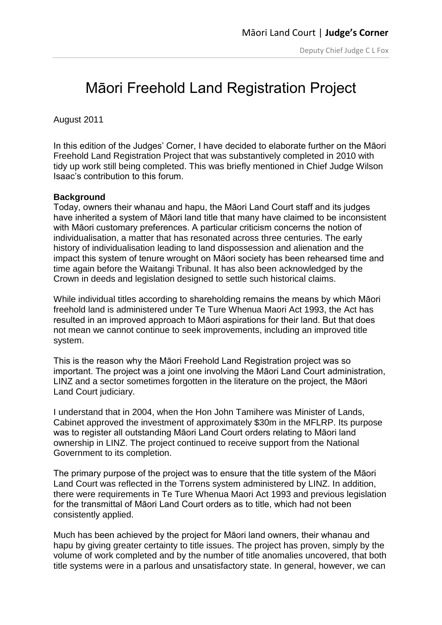## Māori Freehold Land Registration Project

August 2011

In this edition of the Judges' Corner, I have decided to elaborate further on the Māori Freehold Land Registration Project that was substantively completed in 2010 with tidy up work still being completed. This was briefly mentioned in Chief Judge Wilson Isaac's contribution to this forum.

## **Background**

Today, owners their whanau and hapu, the Māori Land Court staff and its judges have inherited a system of Māori land title that many have claimed to be inconsistent with Māori customary preferences. A particular criticism concerns the notion of individualisation, a matter that has resonated across three centuries. The early history of individualisation leading to land dispossession and alienation and the impact this system of tenure wrought on Māori society has been rehearsed time and time again before the Waitangi Tribunal. It has also been acknowledged by the Crown in deeds and legislation designed to settle such historical claims.

While individual titles according to shareholding remains the means by which Māori freehold land is administered under Te Ture Whenua Maori Act 1993, the Act has resulted in an improved approach to Māori aspirations for their land. But that does not mean we cannot continue to seek improvements, including an improved title system.

This is the reason why the Māori Freehold Land Registration project was so important. The project was a joint one involving the Māori Land Court administration, LINZ and a sector sometimes forgotten in the literature on the project, the Māori Land Court judiciary.

I understand that in 2004, when the Hon John Tamihere was Minister of Lands, Cabinet approved the investment of approximately \$30m in the MFLRP. Its purpose was to register all outstanding Māori Land Court orders relating to Māori land ownership in LINZ. The project continued to receive support from the National Government to its completion.

The primary purpose of the project was to ensure that the title system of the Māori Land Court was reflected in the Torrens system administered by LINZ. In addition, there were requirements in Te Ture Whenua Maori Act 1993 and previous legislation for the transmittal of Māori Land Court orders as to title, which had not been consistently applied.

Much has been achieved by the project for Māori land owners, their whanau and hapu by giving greater certainty to title issues. The project has proven, simply by the volume of work completed and by the number of title anomalies uncovered, that both title systems were in a parlous and unsatisfactory state. In general, however, we can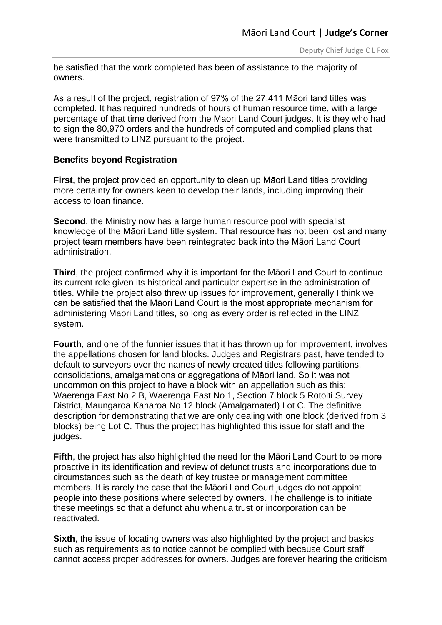be satisfied that the work completed has been of assistance to the majority of owners.

As a result of the project, registration of 97% of the 27,411 Māori land titles was completed. It has required hundreds of hours of human resource time, with a large percentage of that time derived from the Maori Land Court judges. It is they who had to sign the 80,970 orders and the hundreds of computed and complied plans that were transmitted to LINZ pursuant to the project.

## **Benefits beyond Registration**

**First**, the project provided an opportunity to clean up Māori Land titles providing more certainty for owners keen to develop their lands, including improving their access to loan finance.

**Second**, the Ministry now has a large human resource pool with specialist knowledge of the Māori Land title system. That resource has not been lost and many project team members have been reintegrated back into the Māori Land Court administration.

**Third**, the project confirmed why it is important for the Māori Land Court to continue its current role given its historical and particular expertise in the administration of titles. While the project also threw up issues for improvement, generally I think we can be satisfied that the Māori Land Court is the most appropriate mechanism for administering Maori Land titles, so long as every order is reflected in the LINZ system.

**Fourth**, and one of the funnier issues that it has thrown up for improvement, involves the appellations chosen for land blocks. Judges and Registrars past, have tended to default to surveyors over the names of newly created titles following partitions, consolidations, amalgamations or aggregations of Māori land. So it was not uncommon on this project to have a block with an appellation such as this: Waerenga East No 2 B, Waerenga East No 1, Section 7 block 5 Rotoiti Survey District, Maungaroa Kaharoa No 12 block (Amalgamated) Lot C. The definitive description for demonstrating that we are only dealing with one block (derived from 3 blocks) being Lot C. Thus the project has highlighted this issue for staff and the judges.

**Fifth**, the project has also highlighted the need for the Māori Land Court to be more proactive in its identification and review of defunct trusts and incorporations due to circumstances such as the death of key trustee or management committee members. It is rarely the case that the Māori Land Court judges do not appoint people into these positions where selected by owners. The challenge is to initiate these meetings so that a defunct ahu whenua trust or incorporation can be reactivated.

**Sixth**, the issue of locating owners was also highlighted by the project and basics such as requirements as to notice cannot be complied with because Court staff cannot access proper addresses for owners. Judges are forever hearing the criticism